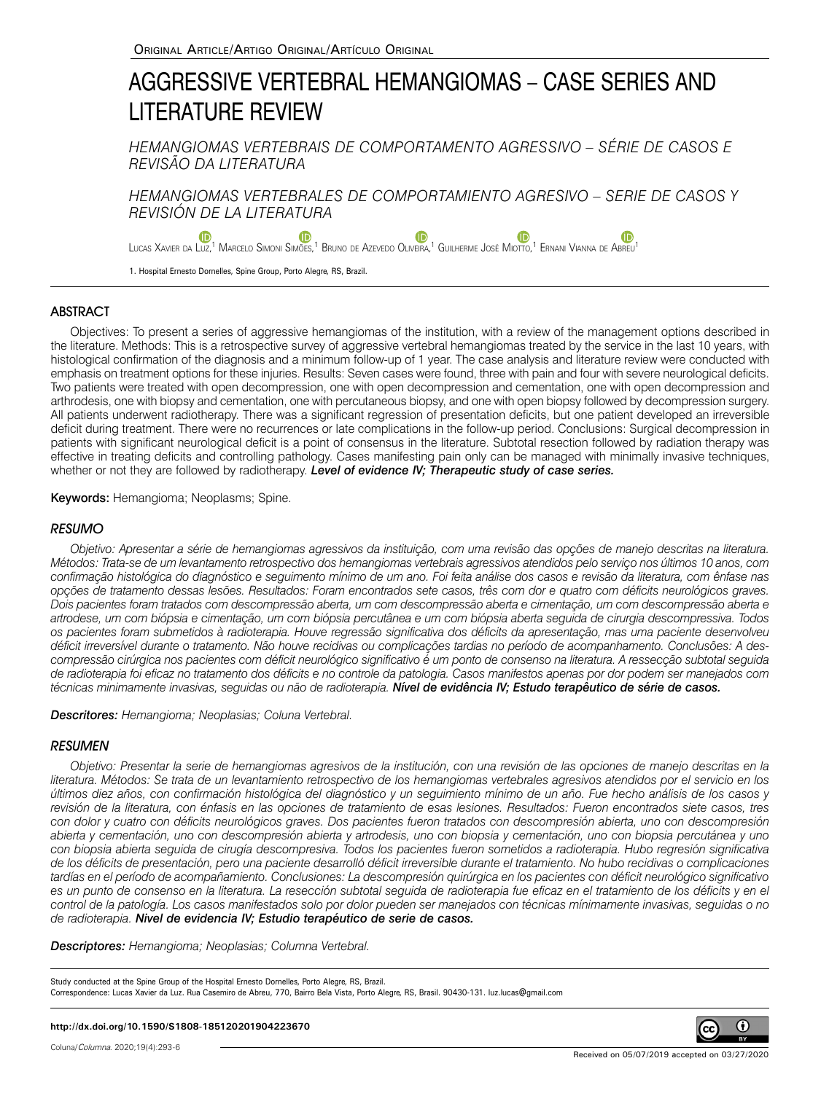# AGGRESSIVE VERTEBRAL HEMANGIOMAS – CASE SERIES AND LITERATURE REVIEW

*HEMANGIOMAS VERTEBRAIS DE COMPORTAMENTO AGRESSIVO – SÉRIE DE CASOS E REVISÃO DA LITERATURA*

*HEMANGIOMAS VERTEBRALES DE COMPORTAMIENTO AGRESIVO – SERIE DE CASOS Y REVISIÓN DE LA LITERATURA*

<sup>(D</sup> **G** [L](https://orcid.org/0000-0003-2565-2788)ucas Xavier da Luz[,](https://orcid.org/0000-0002-3675-5718)<sup>[1](https://orcid.org/0000-0003-0043-2981)</sup> Marcelo Simoni Simões,<sup>1</sup> Bruno de Azevedo Oliveira,<sup>1</sup> Guilherme José Miotto,<sup>1</sup> Ernani Vianna de Abreu<sup>1</sup>

1. Hospital Ernesto Dornelles, Spine Group, Porto Alegre, RS, Brazil.

# ABSTRACT

Objectives: To present a series of aggressive hemangiomas of the institution, with a review of the management options described in the literature. Methods: This is a retrospective survey of aggressive vertebral hemangiomas treated by the service in the last 10 years, with histological confirmation of the diagnosis and a minimum follow-up of 1 year. The case analysis and literature review were conducted with emphasis on treatment options for these injuries. Results: Seven cases were found, three with pain and four with severe neurological deficits. Two patients were treated with open decompression, one with open decompression and cementation, one with open decompression and arthrodesis, one with biopsy and cementation, one with percutaneous biopsy, and one with open biopsy followed by decompression surgery. All patients underwent radiotherapy. There was a significant regression of presentation deficits, but one patient developed an irreversible deficit during treatment. There were no recurrences or late complications in the follow-up period. Conclusions: Surgical decompression in patients with significant neurological deficit is a point of consensus in the literature. Subtotal resection followed by radiation therapy was effective in treating deficits and controlling pathology. Cases manifesting pain only can be managed with minimally invasive techniques, whether or not they are followed by radiotherapy. *Level of evidence IV; Therapeutic study of case series.*

Keywords: Hemangioma; Neoplasms; Spine.

# **RESUMO**

*Objetivo: Apresentar a série de hemangiomas agressivos da instituição, com uma revisão das opções de manejo descritas na literatura. Métodos: Trata-se de um levantamento retrospectivo dos hemangiomas vertebrais agressivos atendidos pelo serviço nos últimos 10 anos, com confirmação histológica do diagnóstico e seguimento mínimo de um ano. Foi feita análise dos casos e revisão da literatura, com ênfase nas opções de tratamento dessas lesões. Resultados: Foram encontrados sete casos, três com dor e quatro com déficits neurológicos graves. Dois pacientes foram tratados com descompressão aberta, um com descompressão aberta e cimentação, um com descompressão aberta e artrodese, um com biópsia e cimentação, um com biópsia percutânea e um com biópsia aberta seguida de cirurgia descompressiva. Todos os pacientes foram submetidos à radioterapia. Houve regressão significativa dos déficits da apresentação, mas uma paciente desenvolveu déficit irreversível durante o tratamento. Não houve recidivas ou complicações tardias no período de acompanhamento. Conclusões: A descompressão cirúrgica nos pacientes com déficit neurológico significativo é um ponto de consenso na literatura. A ressecção subtotal seguida de radioterapia foi eficaz no tratamento dos déficits e no controle da patologia. Casos manifestos apenas por dor podem ser manejados com técnicas minimamente invasivas, seguidas ou não de radioterapia. Nível de evidência IV; Estudo terapêutico de série de casos.*

*Descritores: Hemangioma; Neoplasias; Coluna Vertebral.*

### RESUMEN

*Objetivo: Presentar la serie de hemangiomas agresivos de la institución, con una revisión de las opciones de manejo descritas en la literatura. Métodos: Se trata de un levantamiento retrospectivo de los hemangiomas vertebrales agresivos atendidos por el servicio en los últimos diez años, con confirmación histológica del diagnóstico y un seguimiento mínimo de un año. Fue hecho análisis de los casos y revisión de la literatura, con énfasis en las opciones de tratamiento de esas lesiones. Resultados: Fueron encontrados siete casos, tres con dolor y cuatro con déficits neurológicos graves. Dos pacientes fueron tratados con descompresión abierta, uno con descompresión abierta y cementación, uno con descompresión abierta y artrodesis, uno con biopsia y cementación, uno con biopsia percutánea y uno con biopsia abierta seguida de cirugía descompresiva. Todos los pacientes fueron sometidos a radioterapia. Hubo regresión significativa de los déficits de presentación, pero una paciente desarrolló déficit irreversible durante el tratamiento. No hubo recidivas o complicaciones tardías en el período de acompañamiento. Conclusiones: La descompresión quirúrgica en los pacientes con déficit neurológico significativo*  es un punto de consenso en la literatura. La resección subtotal seguida de radioterapia fue eficaz en el tratamiento de los déficits y en el *control de la patología. Los casos manifestados solo por dolor pueden ser manejados con técnicas mínimamente invasivas, seguidas o no de radioterapia. Nivel de evidencia IV; Estudio terapéutico de serie de casos.*

*Descriptores: Hemangioma; Neoplasias; Columna Vertebral.*

Study conducted at the Spine Group of the Hospital Ernesto Dornelles, Porto Alegre, RS, Brazil. Correspondence: Lucas Xavier da Luz. Rua Casemiro de Abreu, 770, Bairro Bela Vista, Porto Alegre, RS, Brasil. 90430-131. luz.lucas@gmail.com

#### **http://dx.doi.org/10.1590/S1808-185120201904223670**

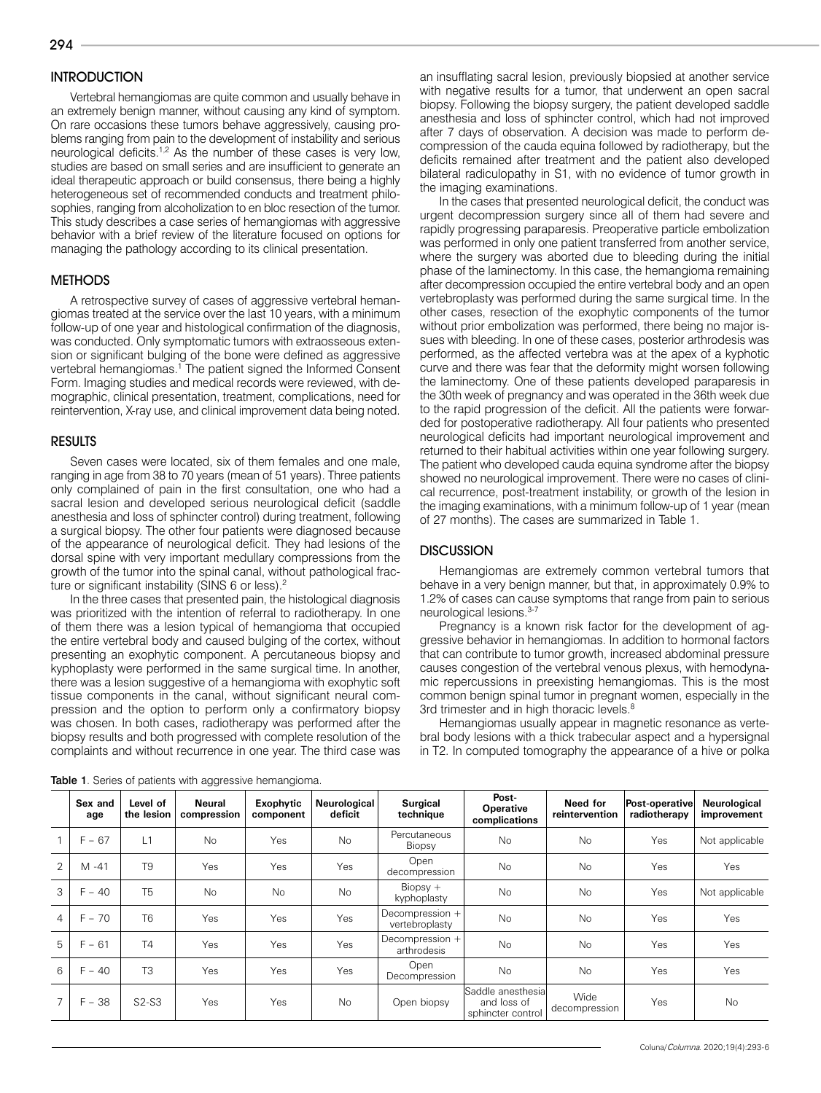294

# **INTRODUCTION**

Vertebral hemangiomas are quite common and usually behave in an extremely benign manner, without causing any kind of symptom. On rare occasions these tumors behave aggressively, causing problems ranging from pain to the development of instability and serious neurological deficits.<sup>1,2</sup> As the number of these cases is very low, studies are based on small series and are insufficient to generate an ideal therapeutic approach or build consensus, there being a highly heterogeneous set of recommended conducts and treatment philosophies, ranging from alcoholization to en bloc resection of the tumor. This study describes a case series of hemangiomas with aggressive behavior with a brief review of the literature focused on options for managing the pathology according to its clinical presentation.

## **METHODS**

A retrospective survey of cases of aggressive vertebral hemangiomas treated at the service over the last 10 years, with a minimum follow-up of one year and histological confirmation of the diagnosis, was conducted. Only symptomatic tumors with extraosseous extension or significant bulging of the bone were defined as aggressive vertebral hemangiomas.<sup>1</sup> The patient signed the Informed Consent Form. Imaging studies and medical records were reviewed, with demographic, clinical presentation, treatment, complications, need for reintervention, X-ray use, and clinical improvement data being noted.

# RESULTS

Seven cases were located, six of them females and one male, ranging in age from 38 to 70 years (mean of 51 years). Three patients only complained of pain in the first consultation, one who had a sacral lesion and developed serious neurological deficit (saddle anesthesia and loss of sphincter control) during treatment, following a surgical biopsy. The other four patients were diagnosed because of the appearance of neurological deficit. They had lesions of the dorsal spine with very important medullary compressions from the growth of the tumor into the spinal canal, without pathological fracture or significant instability (SINS 6 or less).<sup>2</sup>

In the three cases that presented pain, the histological diagnosis was prioritized with the intention of referral to radiotherapy. In one of them there was a lesion typical of hemangioma that occupied the entire vertebral body and caused bulging of the cortex, without presenting an exophytic component. A percutaneous biopsy and kyphoplasty were performed in the same surgical time. In another, there was a lesion suggestive of a hemangioma with exophytic soft tissue components in the canal, without significant neural compression and the option to perform only a confirmatory biopsy was chosen. In both cases, radiotherapy was performed after the biopsy results and both progressed with complete resolution of the complaints and without recurrence in one year. The third case was

an insufflating sacral lesion, previously biopsied at another service with negative results for a tumor, that underwent an open sacral biopsy. Following the biopsy surgery, the patient developed saddle anesthesia and loss of sphincter control, which had not improved after 7 days of observation. A decision was made to perform decompression of the cauda equina followed by radiotherapy, but the deficits remained after treatment and the patient also developed bilateral radiculopathy in S1, with no evidence of tumor growth in the imaging examinations.

In the cases that presented neurological deficit, the conduct was urgent decompression surgery since all of them had severe and rapidly progressing paraparesis. Preoperative particle embolization was performed in only one patient transferred from another service, where the surgery was aborted due to bleeding during the initial phase of the laminectomy. In this case, the hemangioma remaining after decompression occupied the entire vertebral body and an open vertebroplasty was performed during the same surgical time. In the other cases, resection of the exophytic components of the tumor without prior embolization was performed, there being no major issues with bleeding. In one of these cases, posterior arthrodesis was performed, as the affected vertebra was at the apex of a kyphotic curve and there was fear that the deformity might worsen following the laminectomy. One of these patients developed paraparesis in the 30th week of pregnancy and was operated in the 36th week due to the rapid progression of the deficit. All the patients were forwarded for postoperative radiotherapy. All four patients who presented neurological deficits had important neurological improvement and returned to their habitual activities within one year following surgery. The patient who developed cauda equina syndrome after the biopsy showed no neurological improvement. There were no cases of clinical recurrence, post-treatment instability, or growth of the lesion in the imaging examinations, with a minimum follow-up of 1 year (mean of 27 months). The cases are summarized in Table 1.

# **DISCUSSION**

Hemangiomas are extremely common vertebral tumors that behave in a very benign manner, but that, in approximately 0.9% to 1.2% of cases can cause symptoms that range from pain to serious neurological lesions.<sup>3-7</sup>

Pregnancy is a known risk factor for the development of aggressive behavior in hemangiomas. In addition to hormonal factors that can contribute to tumor growth, increased abdominal pressure causes congestion of the vertebral venous plexus, with hemodynamic repercussions in preexisting hemangiomas. This is the most common benign spinal tumor in pregnant women, especially in the 3rd trimester and in high thoracic levels.<sup>8</sup>

Hemangiomas usually appear in magnetic resonance as vertebral body lesions with a thick trabecular aspect and a hypersignal in T2. In computed tomography the appearance of a hive or polka

|                | Sex and<br>age | Level of<br>the lesion | Neural<br>compression | Exophytic<br>component | Neurological<br>deficit | <b>Surgical</b><br>technique      | Post-<br><b>Operative</b><br>complications             | Need for<br>reintervention | Post-operative<br>radiotherapy | Neurological<br>improvement |
|----------------|----------------|------------------------|-----------------------|------------------------|-------------------------|-----------------------------------|--------------------------------------------------------|----------------------------|--------------------------------|-----------------------------|
|                | $F - 67$       | L1                     | <b>No</b>             | Yes                    | <b>No</b>               | Percutaneous<br>Biopsy            | <b>No</b>                                              | <b>No</b>                  | Yes                            | Not applicable              |
| 2              | $M - 41$       | T <sub>9</sub>         | Yes                   | Yes                    | Yes                     | Open<br>decompression             | <b>No</b>                                              | <b>No</b>                  | Yes                            | Yes                         |
| $\mathcal{S}$  | $F - 40$       | T <sub>5</sub>         | <b>No</b>             | <b>No</b>              | <b>No</b>               | $Biopsv +$<br>kyphoplasty         | <b>No</b>                                              | <b>No</b>                  | Yes                            | Not applicable              |
| $\overline{4}$ | $F - 70$       | T <sub>6</sub>         | Yes                   | Yes                    | Yes                     | Decompression +<br>vertebroplasty | <b>No</b>                                              | <b>No</b>                  | Yes                            | Yes                         |
| 5              | $F - 61$       | <b>T4</b>              | Yes                   | Yes                    | Yes                     | Decompression +<br>arthrodesis    | <b>No</b>                                              | <b>No</b>                  | Yes                            | Yes                         |
| 6              | $F - 40$       | T <sub>3</sub>         | Yes                   | Yes                    | Yes                     | Open<br>Decompression             | <b>No</b>                                              | <b>No</b>                  | Yes                            | Yes                         |
|                | $F - 38$       | $S2-S3$                | Yes                   | Yes                    | <b>No</b>               | Open biopsy                       | Saddle anesthesial<br>and loss of<br>sphincter control | Wide<br>decompression      | Yes                            | <b>No</b>                   |

Table 1. Series of patients with aggressive hemangioma.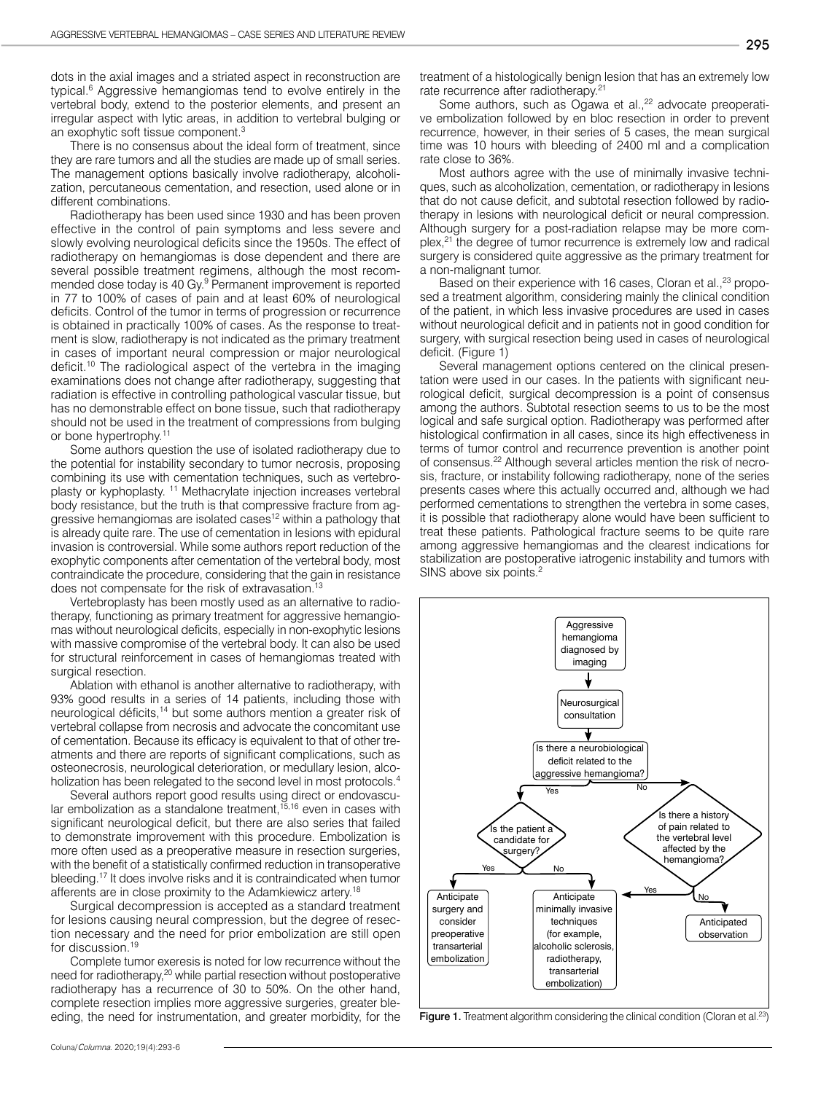dots in the axial images and a striated aspect in reconstruction are typical.6 Aggressive hemangiomas tend to evolve entirely in the vertebral body, extend to the posterior elements, and present an irregular aspect with lytic areas, in addition to vertebral bulging or an exophytic soft tissue component.3

There is no consensus about the ideal form of treatment, since they are rare tumors and all the studies are made up of small series. The management options basically involve radiotherapy, alcoholization, percutaneous cementation, and resection, used alone or in different combinations.

Radiotherapy has been used since 1930 and has been proven effective in the control of pain symptoms and less severe and slowly evolving neurological deficits since the 1950s. The effect of radiotherapy on hemangiomas is dose dependent and there are several possible treatment regimens, although the most recommended dose today is 40 Gy.<sup>9</sup> Permanent improvement is reported in 77 to 100% of cases of pain and at least 60% of neurological deficits. Control of the tumor in terms of progression or recurrence is obtained in practically 100% of cases. As the response to treatment is slow, radiotherapy is not indicated as the primary treatment in cases of important neural compression or major neurological deficit.10 The radiological aspect of the vertebra in the imaging examinations does not change after radiotherapy, suggesting that radiation is effective in controlling pathological vascular tissue, but has no demonstrable effect on bone tissue, such that radiotherapy should not be used in the treatment of compressions from bulging or bone hypertrophy.11

Some authors question the use of isolated radiotherapy due to the potential for instability secondary to tumor necrosis, proposing combining its use with cementation techniques, such as vertebroplasty or kyphoplasty. 11 Methacrylate injection increases vertebral body resistance, but the truth is that compressive fracture from aggressive hemangiomas are isolated cases<sup>12</sup> within a pathology that is already quite rare. The use of cementation in lesions with epidural invasion is controversial. While some authors report reduction of the exophytic components after cementation of the vertebral body, most contraindicate the procedure, considering that the gain in resistance does not compensate for the risk of extravasation.<sup>13</sup>

Vertebroplasty has been mostly used as an alternative to radiotherapy, functioning as primary treatment for aggressive hemangiomas without neurological deficits, especially in non-exophytic lesions with massive compromise of the vertebral body. It can also be used for structural reinforcement in cases of hemangiomas treated with surgical resection.

Ablation with ethanol is another alternative to radiotherapy, with 93% good results in a series of 14 patients, including those with neurological déficits,14 but some authors mention a greater risk of vertebral collapse from necrosis and advocate the concomitant use of cementation. Because its efficacy is equivalent to that of other treatments and there are reports of significant complications, such as osteonecrosis, neurological deterioration, or medullary lesion, alcoholization has been relegated to the second level in most protocols.<sup>4</sup>

Several authors report good results using direct or endovascular embolization as a standalone treatment, $15,16$  even in cases with significant neurological deficit, but there are also series that failed to demonstrate improvement with this procedure. Embolization is more often used as a preoperative measure in resection surgeries, with the benefit of a statistically confirmed reduction in transoperative bleeding.17 It does involve risks and it is contraindicated when tumor afferents are in close proximity to the Adamkiewicz artery.<sup>18</sup>

Surgical decompression is accepted as a standard treatment for lesions causing neural compression, but the degree of resection necessary and the need for prior embolization are still open for discussion.<sup>19</sup>

Complete tumor exeresis is noted for low recurrence without the need for radiotherapy,<sup>20</sup> while partial resection without postoperative radiotherapy has a recurrence of 30 to 50%. On the other hand, complete resection implies more aggressive surgeries, greater bleeding, the need for instrumentation, and greater morbidity, for the treatment of a histologically benign lesion that has an extremely low rate recurrence after radiotherapy.<sup>21</sup>

Some authors, such as Ogawa et al.<sup>22</sup> advocate preoperative embolization followed by en bloc resection in order to prevent recurrence, however, in their series of 5 cases, the mean surgical time was 10 hours with bleeding of 2400 ml and a complication rate close to 36%.

Most authors agree with the use of minimally invasive techniques, such as alcoholization, cementation, or radiotherapy in lesions that do not cause deficit, and subtotal resection followed by radiotherapy in lesions with neurological deficit or neural compression. Although surgery for a post-radiation relapse may be more complex,21 the degree of tumor recurrence is extremely low and radical surgery is considered quite aggressive as the primary treatment for a non-malignant tumor.

Based on their experience with 16 cases, Cloran et al.,<sup>23</sup> proposed a treatment algorithm, considering mainly the clinical condition of the patient, in which less invasive procedures are used in cases without neurological deficit and in patients not in good condition for surgery, with surgical resection being used in cases of neurological deficit. (Figure 1)

Several management options centered on the clinical presentation were used in our cases. In the patients with significant neurological deficit, surgical decompression is a point of consensus among the authors. Subtotal resection seems to us to be the most logical and safe surgical option. Radiotherapy was performed after histological confirmation in all cases, since its high effectiveness in terms of tumor control and recurrence prevention is another point of consensus.22 Although several articles mention the risk of necrosis, fracture, or instability following radiotherapy, none of the series presents cases where this actually occurred and, although we had performed cementations to strengthen the vertebra in some cases, it is possible that radiotherapy alone would have been sufficient to treat these patients. Pathological fracture seems to be quite rare among aggressive hemangiomas and the clearest indications for stabilization are postoperative iatrogenic instability and tumors with SINS above six points.<sup>2</sup>



Figure 1. Treatment algorithm considering the clinical condition (Cloran et al.<sup>23</sup>)